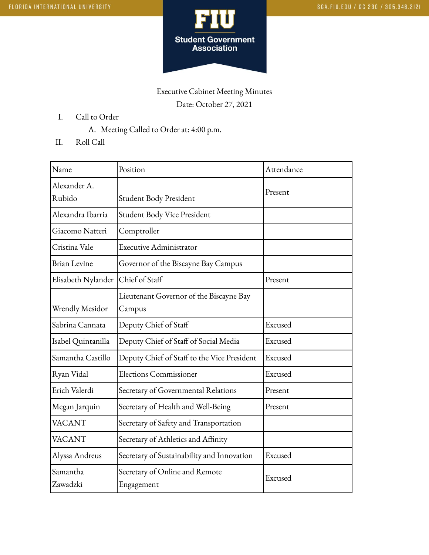

## Executive Cabinet Meeting Minutes Date: October 27, 2021

- I. Call to Order
	- A. Meeting Called to Order at: 4:00 p.m.
- II. Roll Call

| Name                 | Position                                     | Attendance |  |
|----------------------|----------------------------------------------|------------|--|
| Alexander A.         |                                              | Present    |  |
| Rubido               | Student Body President                       |            |  |
| Alexandra Ibarria    | Student Body Vice President                  |            |  |
| Giacomo Natteri      | Comptroller                                  |            |  |
| Cristina Vale        | <b>Executive Administrator</b>               |            |  |
| <b>Brian Levine</b>  | Governor of the Biscayne Bay Campus          |            |  |
| Elisabeth Nylander   | Chief of Staff                               | Present    |  |
|                      | Lieutenant Governor of the Biscayne Bay      |            |  |
| Wrendly Mesidor      | Campus                                       |            |  |
| Sabrina Cannata      | Deputy Chief of Staff                        | Excused    |  |
| Isabel Quintanilla   | Deputy Chief of Staff of Social Media        | Excused    |  |
| Samantha Castillo    | Deputy Chief of Staff to the Vice President  | Excused    |  |
| Ryan Vidal           | <b>Elections Commissioner</b>                | Excused    |  |
| Erich Valerdi        | Secretary of Governmental Relations          | Present    |  |
| Megan Jarquin        | Secretary of Health and Well-Being           | Present    |  |
| <b>VACANT</b>        | Secretary of Safety and Transportation       |            |  |
| <b>VACANT</b>        | Secretary of Athletics and Affinity          |            |  |
| Alyssa Andreus       | Secretary of Sustainability and Innovation   | Excused    |  |
| Samantha<br>Zawadzki | Secretary of Online and Remote<br>Engagement | Excused    |  |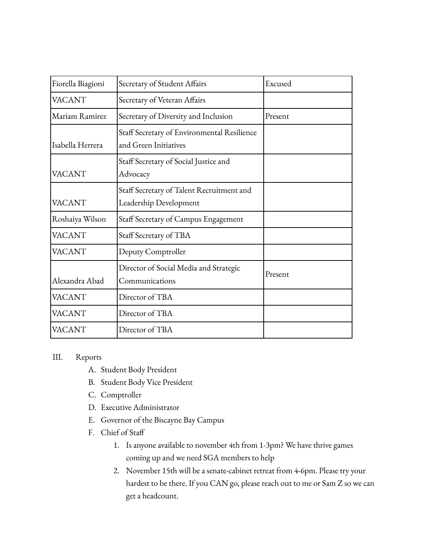| Fiorella Biagioni | Secretary of Student Affairs                                         | Excused |
|-------------------|----------------------------------------------------------------------|---------|
| <b>VACANT</b>     | Secretary of Veteran Affairs                                         |         |
| Mariam Ramirez    | Secretary of Diversity and Inclusion                                 | Present |
| Isabella Herrera  | Staff Secretary of Environmental Resilience<br>and Green Initiatives |         |
| <b>VACANT</b>     | Staff Secretary of Social Justice and<br>Advocacy                    |         |
| <b>VACANT</b>     | Staff Secretary of Talent Recruitment and<br>Leadership Development  |         |
| Roshaiya Wilson   | Staff Secretary of Campus Engagement                                 |         |
| <b>VACANT</b>     | Staff Secretary of TBA                                               |         |
| <b>VACANT</b>     | Deputy Comptroller                                                   |         |
| Alexandra Abad    | Director of Social Media and Strategic<br>Communications             | Present |
| <b>VACANT</b>     | Director of TBA                                                      |         |
| <b>VACANT</b>     | Director of TBA                                                      |         |
| <b>VACANT</b>     | Director of TBA                                                      |         |

## III. Reports

- A. Student Body President
- B. Student Body Vice President
- C. Comptroller
- D. Executive Administrator
- E. Governor of the Biscayne Bay Campus
- F. Chief of Staff
	- 1. Is anyone available to november 4th from 1-3pm? We have thrive games coming up and we need SGA members to help
	- 2. November 15th will be a senate-cabinet retreat from 4-6pm. Please try your hardest to be there. If you CAN go, please reach out to me or Sam Z so we can get a headcount.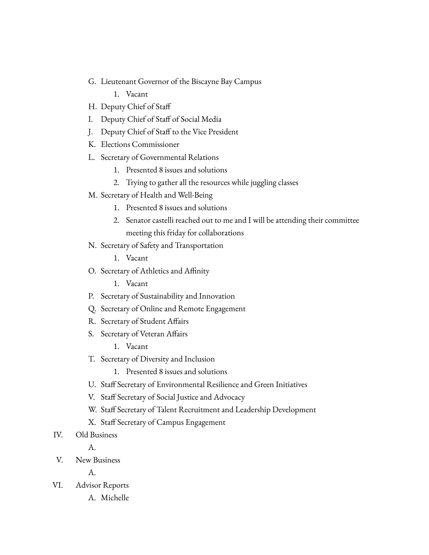- G. Lieutenant Governor of the Biscayne Bay Campus
	- 1. Vacant
- H. Deputy Chief of Staff
- I. Deputy Chief of Staff of Social Media
- J. Deputy Chief of Staff to the Vice President
- K. Elections Commissioner
- L. Secretary of Governmental Relations
	- 1. Presented 8 issues and solutions
	- 2. Trying to gather all the resources while juggling classes
- M. Secretary of Health and Well-Being
	- 1. Presented 8 issues and solutions
	- 2. Senator castelli reached out to me and I will be attending their committee meeting this friday for collaborations
- N. Secretary of Safety and Transportation
	- 1. Vacant
- O. Secretary of Athletics and Affinity
	- 1. Vacant
- P. Secretary of Sustainability and Innovation
- Q. Secretary of Online and Remote Engagement
- R. Secretary of Student Affairs
- S. Secretary of Veteran Affairs
	- 1. Vacant
- T. Secretary of Diversity and Inclusion
	- 1. Presented 8 issues and solutions
- U. Staff Secretary of Environmental Resilience and Green Initiatives
- V. Staff Secretary of Social Justice and Advocacy
- W. Staff Secretary of Talent Recruitment and Leadership Development
- X. Staff Secretary of Campus Engagement
- IV. Old Business
	- A.
- V. New Business

A.

- VI. Advisor Reports
	- A. Michelle